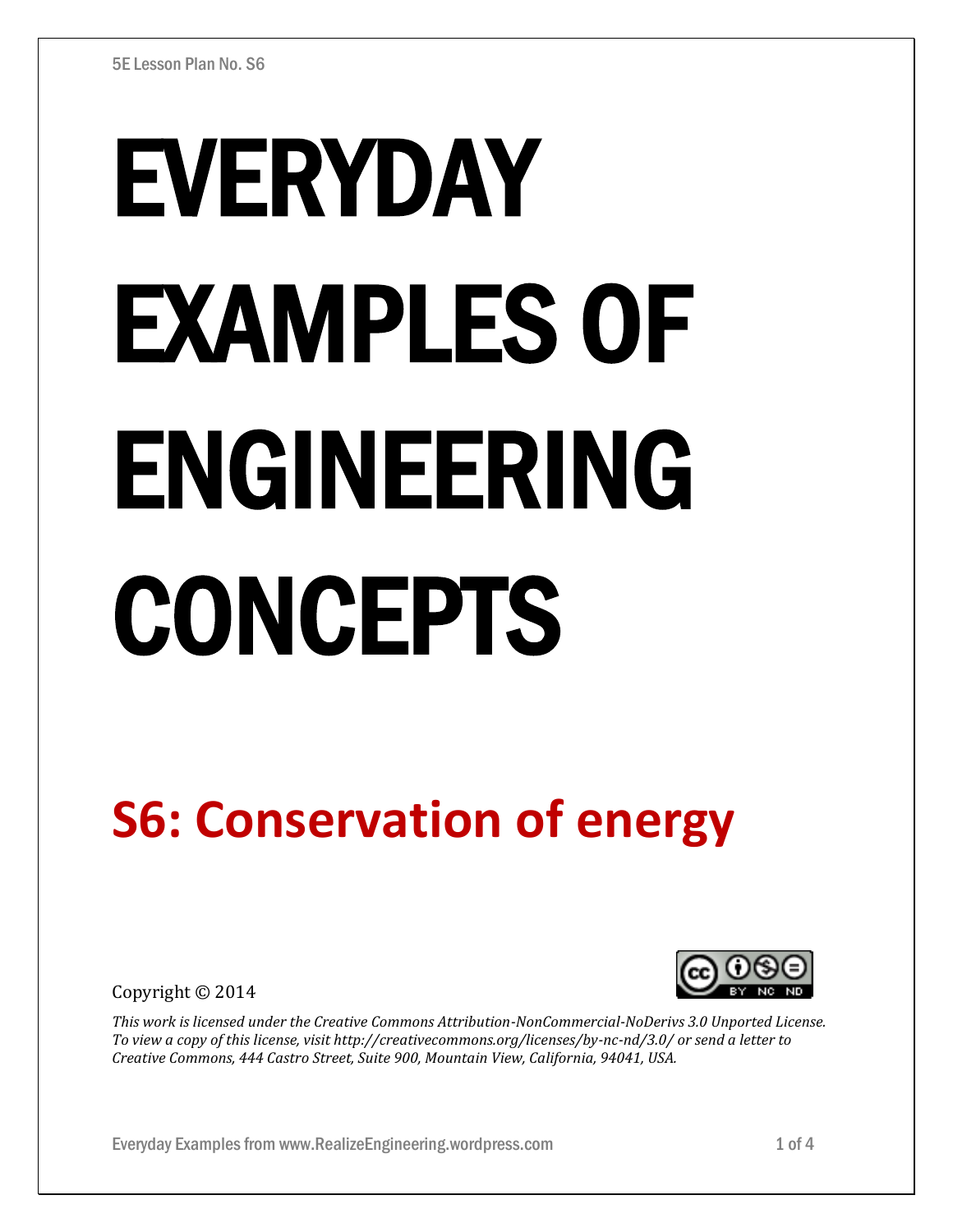# EVERYDAY EXAMPLES OF ENGINEERING CONCEPTS

## **S6: Conservation of energy**

Copyright © 2014



*This work is licensed under the Creative Commons Attribution-NonCommercial-NoDerivs 3.0 Unported License. To view a copy of this license, visit http://creativecommons.org/licenses/by-nc-nd/3.0/ or send a letter to Creative Commons, 444 Castro Street, Suite 900, Mountain View, California, 94041, USA.*

Everyday Examples from www.RealizeEngineering.wordpress.com 1 of 4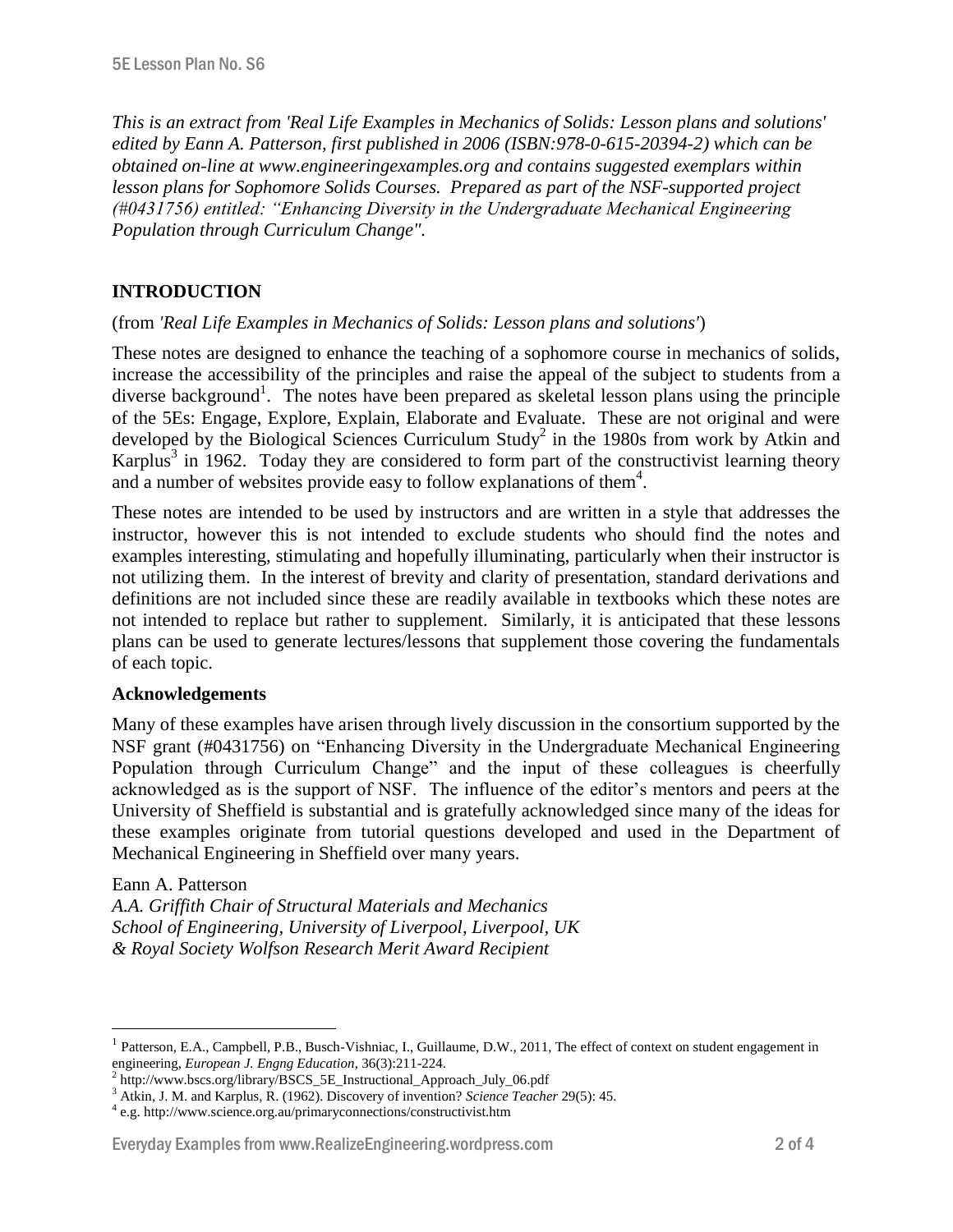*This is an extract from 'Real Life Examples in Mechanics of Solids: Lesson plans and solutions' edited by Eann A. Patterson, first published in 2006 (ISBN:978-0-615-20394-2) which can be obtained on-line at www.engineeringexamples.org and contains suggested exemplars within lesson plans for Sophomore Solids Courses. Prepared as part of the NSF-supported project (#0431756) entitled: "Enhancing Diversity in the Undergraduate Mechanical Engineering Population through Curriculum Change".* 

### **INTRODUCTION**

#### (from *'Real Life Examples in Mechanics of Solids: Lesson plans and solutions'*)

These notes are designed to enhance the teaching of a sophomore course in mechanics of solids, increase the accessibility of the principles and raise the appeal of the subject to students from a diverse background<sup>1</sup>. The notes have been prepared as skeletal lesson plans using the principle of the 5Es: Engage, Explore, Explain, Elaborate and Evaluate. These are not original and were developed by the Biological Sciences Curriculum Study<sup>2</sup> in the 1980s from work by Atkin and Karplus<sup>3</sup> in 1962. Today they are considered to form part of the constructivist learning theory and a number of websites provide easy to follow explanations of them<sup>4</sup>.

These notes are intended to be used by instructors and are written in a style that addresses the instructor, however this is not intended to exclude students who should find the notes and examples interesting, stimulating and hopefully illuminating, particularly when their instructor is not utilizing them. In the interest of brevity and clarity of presentation, standard derivations and definitions are not included since these are readily available in textbooks which these notes are not intended to replace but rather to supplement. Similarly, it is anticipated that these lessons plans can be used to generate lectures/lessons that supplement those covering the fundamentals of each topic.

#### **Acknowledgements**

Many of these examples have arisen through lively discussion in the consortium supported by the NSF grant (#0431756) on "Enhancing Diversity in the Undergraduate Mechanical Engineering Population through Curriculum Change" and the input of these colleagues is cheerfully acknowledged as is the support of NSF. The influence of the editor's mentors and peers at the University of Sheffield is substantial and is gratefully acknowledged since many of the ideas for these examples originate from tutorial questions developed and used in the Department of Mechanical Engineering in Sheffield over many years.

#### Eann A. Patterson

 $\overline{a}$ 

*A.A. Griffith Chair of Structural Materials and Mechanics School of Engineering, University of Liverpool, Liverpool, UK & Royal Society Wolfson Research Merit Award Recipient*

#### Everyday Examples from www.RealizeEngineering.wordpress.com 2 of 4

<sup>1</sup> Patterson, E.A., Campbell, P.B., Busch-Vishniac, I., Guillaume, D.W., 2011, The effect of context on student engagement in engineering, *European J. Engng Education*, 36(3):211-224.

<sup>&</sup>lt;sup>2</sup> http://www.bscs.org/library/BSCS\_5E\_Instructional\_Approach\_July\_06.pdf

<sup>3</sup> Atkin, J. M. and Karplus, R. (1962). Discovery of invention? *Science Teacher* 29(5): 45.

<sup>4</sup> e.g. http://www.science.org.au/primaryconnections/constructivist.htm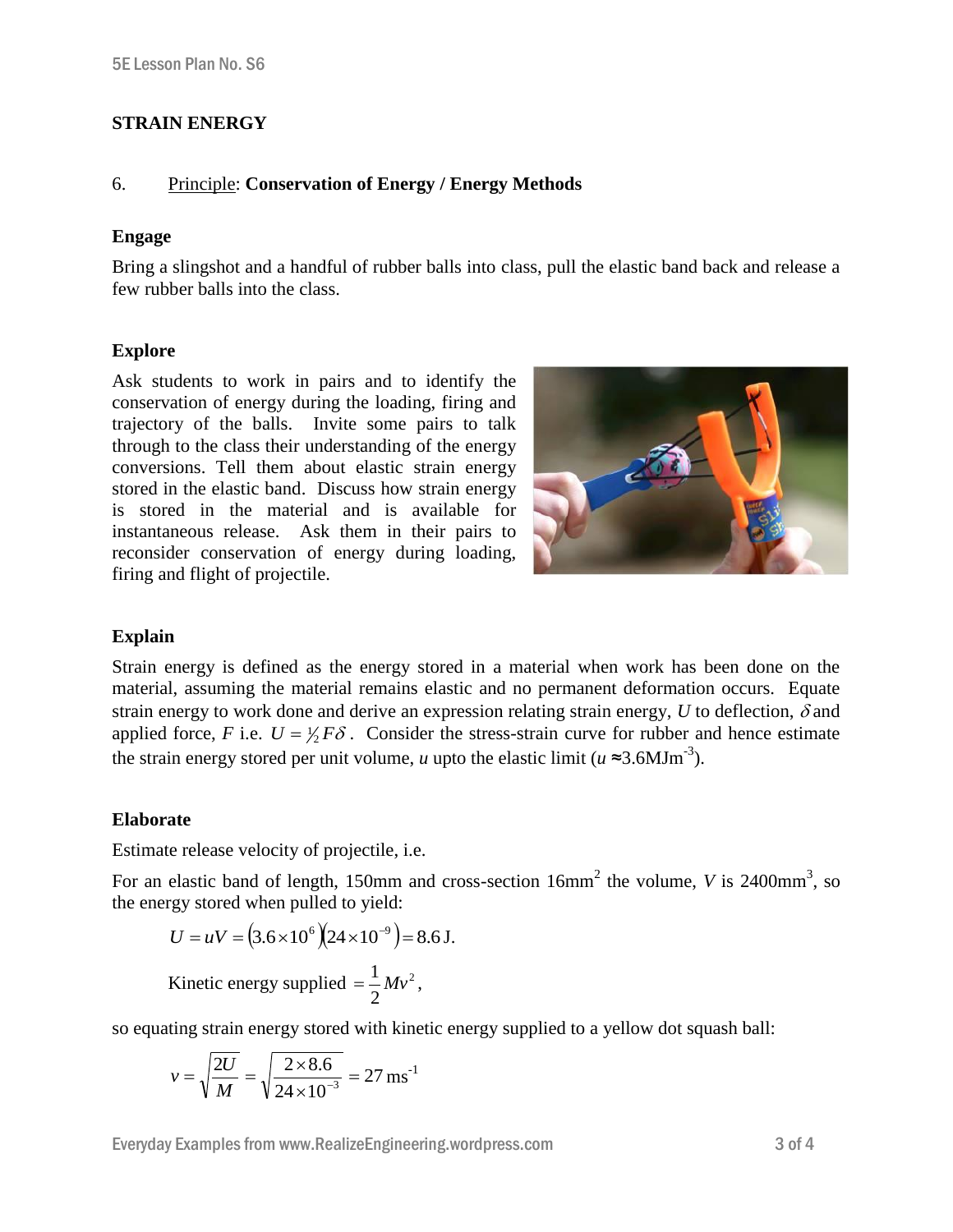#### **STRAIN ENERGY**

#### 6. Principle: **Conservation of Energy / Energy Methods**

#### **Engage**

Bring a slingshot and a handful of rubber balls into class, pull the elastic band back and release a few rubber balls into the class.

#### **Explore**

Ask students to work in pairs and to identify the conservation of energy during the loading, firing and trajectory of the balls. Invite some pairs to talk through to the class their understanding of the energy conversions. Tell them about elastic strain energy stored in the elastic band. Discuss how strain energy is stored in the material and is available for instantaneous release. Ask them in their pairs to reconsider conservation of energy during loading, firing and flight of projectile.



#### **Explain**

Strain energy is defined as the energy stored in a material when work has been done on the material, assuming the material remains elastic and no permanent deformation occurs. Equate strain energy to work done and derive an expression relating strain energy,  $U$  to deflection,  $\delta$  and applied force, *F* i.e.  $U = \frac{1}{2}F\delta$ . Consider the stress-strain curve for rubber and hence estimate the strain energy stored per unit volume, *u* upto the elastic limit ( $u \approx 3.6$ MJm<sup>-3</sup>).

#### **Elaborate**

Estimate release velocity of projectile, i.e.

For an elastic band of length, 150mm and cross-section 16mm<sup>2</sup> the volume, *V* is 2400mm<sup>3</sup>, so the energy stored when pulled to yield:

$$
U = uV = (3.6 \times 10^6)(24 \times 10^{-9}) = 8.6 \text{ J}.
$$

Kinetic energy supplied  $=\frac{1}{2}Mv^2$ 2  $=\frac{1}{2}Mv^2$ ,

so equating strain energy stored with kinetic energy supplied to a yellow dot squash ball:

$$
v = \sqrt{\frac{2U}{M}} = \sqrt{\frac{2 \times 8.6}{24 \times 10^{-3}}} = 27 \text{ ms}^{-1}
$$